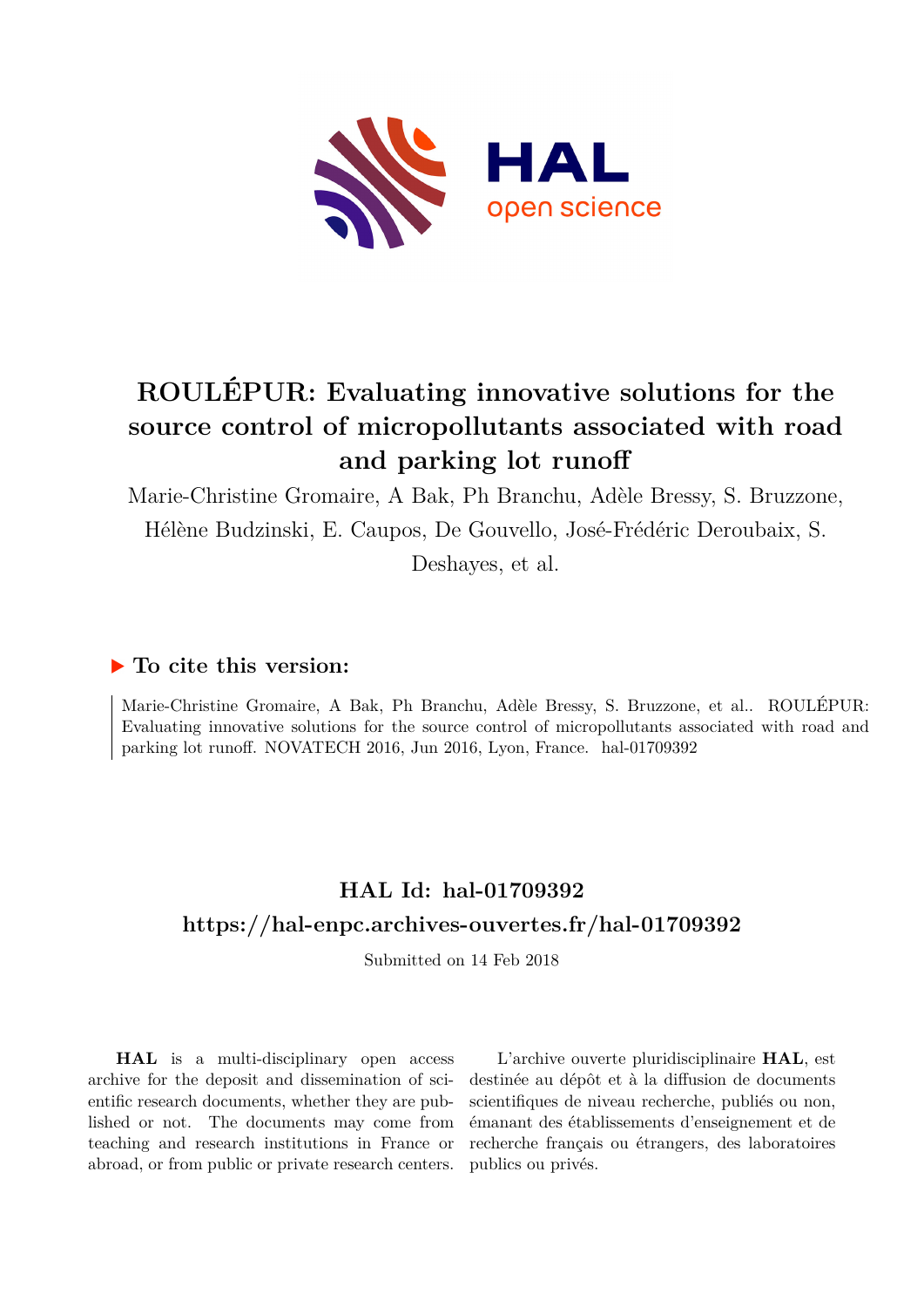

# **ROULÉPUR: Evaluating innovative solutions for the source control of micropollutants associated with road and parking lot runoff**

Marie-Christine Gromaire, A Bak, Ph Branchu, Adèle Bressy, S. Bruzzone, Hélène Budzinski, E. Caupos, De Gouvello, José-Frédéric Deroubaix, S.

Deshayes, et al.

## **To cite this version:**

Marie-Christine Gromaire, A Bak, Ph Branchu, Adèle Bressy, S. Bruzzone, et al.. ROULÉPUR: Evaluating innovative solutions for the source control of micropollutants associated with road and parking lot runoff. NOVATECH 2016, Jun 2016, Lyon, France. hal-01709392

## **HAL Id: hal-01709392 <https://hal-enpc.archives-ouvertes.fr/hal-01709392>**

Submitted on 14 Feb 2018

**HAL** is a multi-disciplinary open access archive for the deposit and dissemination of scientific research documents, whether they are published or not. The documents may come from teaching and research institutions in France or abroad, or from public or private research centers.

L'archive ouverte pluridisciplinaire **HAL**, est destinée au dépôt et à la diffusion de documents scientifiques de niveau recherche, publiés ou non, émanant des établissements d'enseignement et de recherche français ou étrangers, des laboratoires publics ou privés.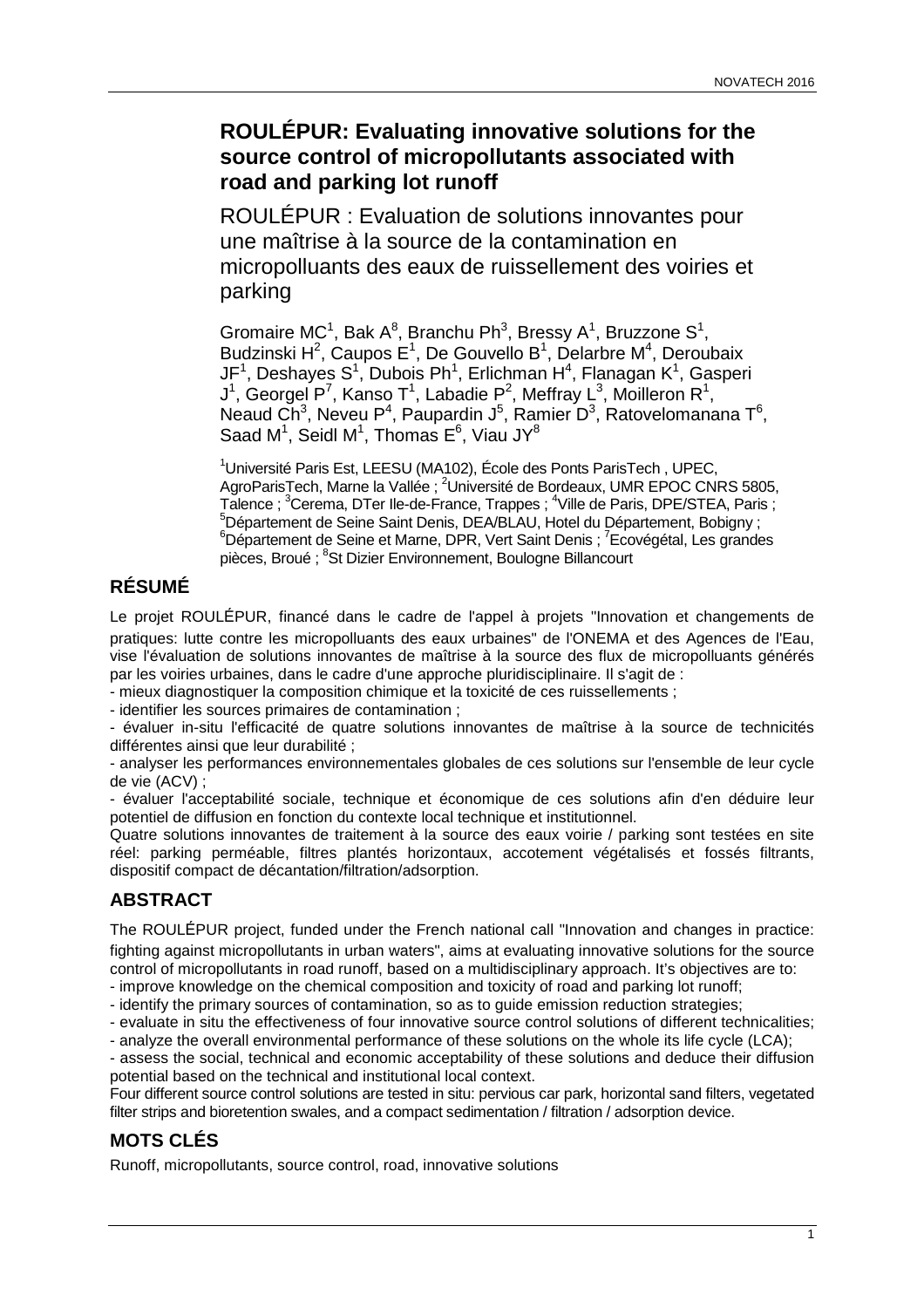## **ROULÉPUR: Evaluating innovative solutions for the source control of micropollutants associated with road and parking lot runoff**

ROULÉPUR : Evaluation de solutions innovantes pour une maîtrise à la source de la contamination en micropolluants des eaux de ruissellement des voiries et parking

Gromaire MC<sup>1</sup>, Bak A<sup>8</sup>, Branchu Ph<sup>3</sup>, Bressy A<sup>1</sup>, Bruzzone S<sup>1</sup>, Budzinski H<sup>2</sup>, Caupos E<sup>1</sup>, De Gouvello B<sup>1</sup>, Delarbre M<sup>4</sup>, Deroubaix JF<sup>1</sup>, Deshayes S<sup>1</sup>, Dubois Ph<sup>1</sup>, Erlichman H<sup>4</sup>, Flanagan K<sup>1</sup>, Gasperi J<sup>1</sup>, Georgel P<sup>7</sup>, Kanso T<sup>1</sup>, Labadie P<sup>2</sup>, Meffray L<sup>3</sup>, Moilleron R<sup>1</sup>, Neaud Ch<sup>3</sup>, Neveu P<sup>4</sup>, Paupardin J<sup>5</sup>, Ramier D<sup>3</sup>, Ratovelomanana T<sup>6</sup>, Saad M<sup>1</sup>, Seidl M<sup>1</sup>, Thomas E<sup>6</sup>, Viau JY<sup>8</sup>

<sup>1</sup>Université Paris Est, LEESU (MA102), École des Ponts ParisTech, UPEC, AgroParisTech, Marne la Vallée ; <sup>2</sup>Université de Bordeaux, UMR EPOC CNRS 5805, Talence ; <sup>3</sup>Cerema, DTer Ile-de-France, Trappes ; <sup>4</sup>Ville de Paris, DPE/STEA, Paris ; <sup>5</sup>Département de Seine Saint Denis, DEA/BLAU, Hotel du Département, Bobigny ; <sup>6</sup>Département de Seine et Marne, DPR, Vert Saint Denis ; <sup>7</sup>Ecovégétal, Les grandes pièces, Broué ; <sup>8</sup>St Dizier Environnement, Boulogne Billancourt

## **RÉSUMÉ**

Le projet ROULÉPUR, financé dans le cadre de l'appel à projets "Innovation et changements de pratiques: lutte contre les micropolluants des eaux urbaines" de l'ONEMA et des Agences de l'Eau, vise l'évaluation de solutions innovantes de maîtrise à la source des flux de micropolluants générés par les voiries urbaines, dans le cadre d'une approche pluridisciplinaire. Il s'agit de :

- mieux diagnostiquer la composition chimique et la toxicité de ces ruissellements ;

- identifier les sources primaires de contamination ;

- évaluer in-situ l'efficacité de quatre solutions innovantes de maîtrise à la source de technicités différentes ainsi que leur durabilité :

- analyser les performances environnementales globales de ces solutions sur l'ensemble de leur cycle de vie (ACV) ;

- évaluer l'acceptabilité sociale, technique et économique de ces solutions afin d'en déduire leur potentiel de diffusion en fonction du contexte local technique et institutionnel.

Quatre solutions innovantes de traitement à la source des eaux voirie / parking sont testées en site réel: parking perméable, filtres plantés horizontaux, accotement végétalisés et fossés filtrants, dispositif compact de décantation/filtration/adsorption.

## **ABSTRACT**

The ROULÉPUR project, funded under the French national call "Innovation and changes in practice: fighting against micropollutants in urban waters", aims at evaluating innovative solutions for the source control of micropollutants in road runoff, based on a multidisciplinary approach. It's objectives are to:

- improve knowledge on the chemical composition and toxicity of road and parking lot runoff;

- identify the primary sources of contamination, so as to guide emission reduction strategies;

- evaluate in situ the effectiveness of four innovative source control solutions of different technicalities; - analyze the overall environmental performance of these solutions on the whole its life cycle (LCA);

- assess the social, technical and economic acceptability of these solutions and deduce their diffusion potential based on the technical and institutional local context.

Four different source control solutions are tested in situ: pervious car park, horizontal sand filters, vegetated filter strips and bioretention swales, and a compact sedimentation / filtration / adsorption device.

## **MOTS CLÉS**

Runoff, micropollutants, source control, road, innovative solutions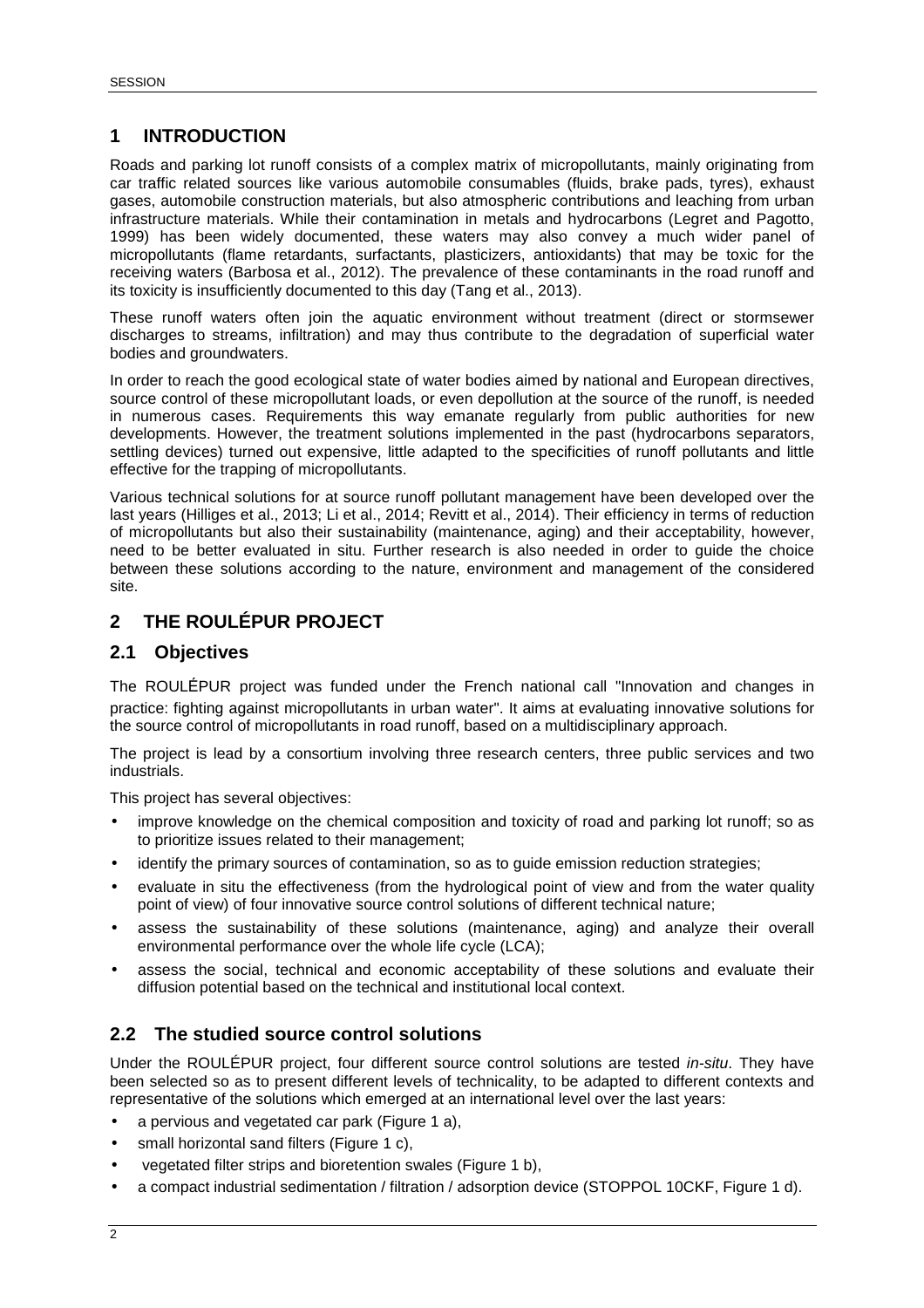#### **1 INTRODUCTION**

Roads and parking lot runoff consists of a complex matrix of micropollutants, mainly originating from car traffic related sources like various automobile consumables (fluids, brake pads, tyres), exhaust gases, automobile construction materials, but also atmospheric contributions and leaching from urban infrastructure materials. While their contamination in metals and hydrocarbons (Legret and Pagotto, 1999) has been widely documented, these waters may also convey a much wider panel of micropollutants (flame retardants, surfactants, plasticizers, antioxidants) that may be toxic for the receiving waters (Barbosa et al., 2012). The prevalence of these contaminants in the road runoff and its toxicity is insufficiently documented to this day (Tang et al., 2013).

These runoff waters often join the aquatic environment without treatment (direct or stormsewer discharges to streams, infiltration) and may thus contribute to the degradation of superficial water bodies and groundwaters.

In order to reach the good ecological state of water bodies aimed by national and European directives, source control of these micropollutant loads, or even depollution at the source of the runoff, is needed in numerous cases. Requirements this way emanate regularly from public authorities for new developments. However, the treatment solutions implemented in the past (hydrocarbons separators, settling devices) turned out expensive, little adapted to the specificities of runoff pollutants and little effective for the trapping of micropollutants.

Various technical solutions for at source runoff pollutant management have been developed over the last years (Hilliges et al., 2013; Li et al., 2014; Revitt et al., 2014). Their efficiency in terms of reduction of micropollutants but also their sustainability (maintenance, aging) and their acceptability, however, need to be better evaluated in situ. Further research is also needed in order to guide the choice between these solutions according to the nature, environment and management of the considered site.

#### **2 THE ROULÉPUR PROJECT**

#### **2.1 Objectives**

The ROULÉPUR project was funded under the French national call "Innovation and changes in practice: fighting against micropollutants in urban water". It aims at evaluating innovative solutions for the source control of micropollutants in road runoff, based on a multidisciplinary approach.

The project is lead by a consortium involving three research centers, three public services and two industrials.

This project has several objectives:

- improve knowledge on the chemical composition and toxicity of road and parking lot runoff; so as to prioritize issues related to their management;
- identify the primary sources of contamination, so as to guide emission reduction strategies;
- evaluate in situ the effectiveness (from the hydrological point of view and from the water quality point of view) of four innovative source control solutions of different technical nature;
- assess the sustainability of these solutions (maintenance, aging) and analyze their overall environmental performance over the whole life cycle (LCA);
- assess the social, technical and economic acceptability of these solutions and evaluate their diffusion potential based on the technical and institutional local context.

#### **2.2 The studied source control solutions**

Under the ROULÉPUR project, four different source control solutions are tested *in-situ*. They have been selected so as to present different levels of technicality, to be adapted to different contexts and representative of the solutions which emerged at an international level over the last years:

- a pervious and vegetated car park (Figure 1 a),
- small horizontal sand filters (Figure 1 c),
- vegetated filter strips and bioretention swales (Figure 1 b),
- a compact industrial sedimentation / filtration / adsorption device (STOPPOL 10CKF, Figure 1 d).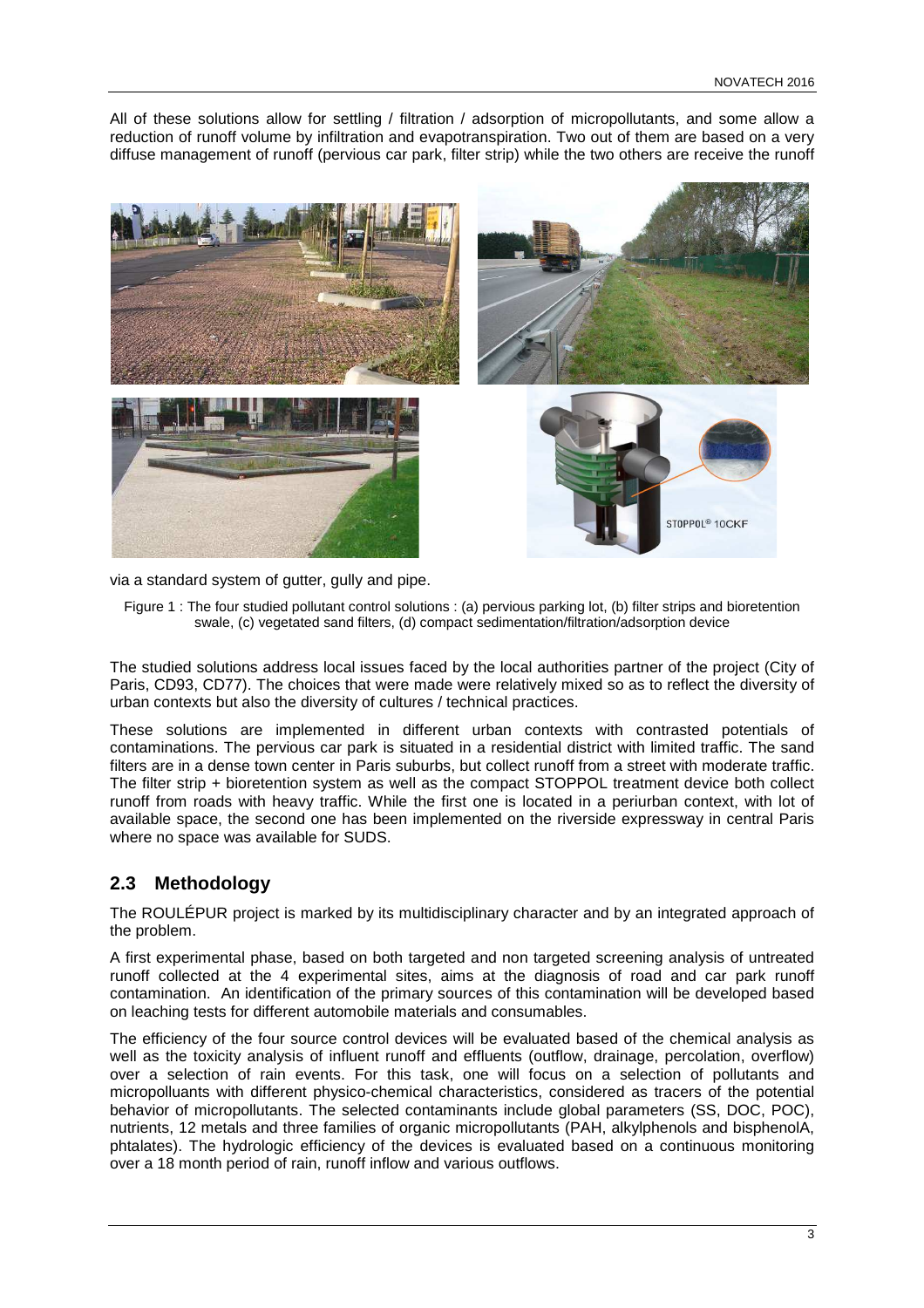All of these solutions allow for settling / filtration / adsorption of micropollutants, and some allow a reduction of runoff volume by infiltration and evapotranspiration. Two out of them are based on a very diffuse management of runoff (pervious car park, filter strip) while the two others are receive the runoff



via a standard system of gutter, gully and pipe.

Figure 1 : The four studied pollutant control solutions : (a) pervious parking lot, (b) filter strips and bioretention swale, (c) vegetated sand filters, (d) compact sedimentation/filtration/adsorption device

The studied solutions address local issues faced by the local authorities partner of the project (City of Paris, CD93, CD77). The choices that were made were relatively mixed so as to reflect the diversity of urban contexts but also the diversity of cultures / technical practices.

These solutions are implemented in different urban contexts with contrasted potentials of contaminations. The pervious car park is situated in a residential district with limited traffic. The sand filters are in a dense town center in Paris suburbs, but collect runoff from a street with moderate traffic. The filter strip + bioretention system as well as the compact STOPPOL treatment device both collect runoff from roads with heavy traffic. While the first one is located in a periurban context, with lot of available space, the second one has been implemented on the riverside expressway in central Paris where no space was available for SUDS.

#### **2.3 Methodology**

The ROULÉPUR project is marked by its multidisciplinary character and by an integrated approach of the problem.

A first experimental phase, based on both targeted and non targeted screening analysis of untreated runoff collected at the 4 experimental sites, aims at the diagnosis of road and car park runoff contamination. An identification of the primary sources of this contamination will be developed based on leaching tests for different automobile materials and consumables.

The efficiency of the four source control devices will be evaluated based of the chemical analysis as well as the toxicity analysis of influent runoff and effluents (outflow, drainage, percolation, overflow) over a selection of rain events. For this task, one will focus on a selection of pollutants and micropolluants with different physico-chemical characteristics, considered as tracers of the potential behavior of micropollutants. The selected contaminants include global parameters (SS, DOC, POC), nutrients, 12 metals and three families of organic micropollutants (PAH, alkylphenols and bisphenolA, phtalates). The hydrologic efficiency of the devices is evaluated based on a continuous monitoring over a 18 month period of rain, runoff inflow and various outflows.